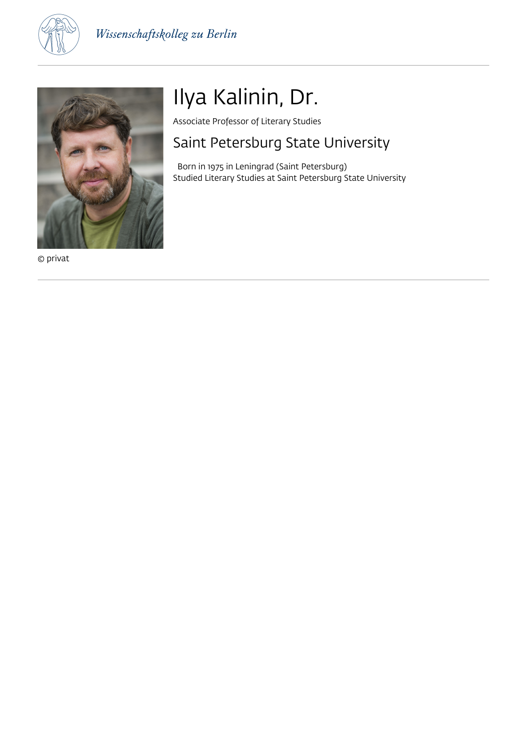



© privat

# Ilya Kalinin, Dr.

Associate Professor of Literary Studies

### Saint Petersburg State University

 Born in 1975 in Leningrad (Saint Petersburg) Studied Literary Studies at Saint Petersburg State University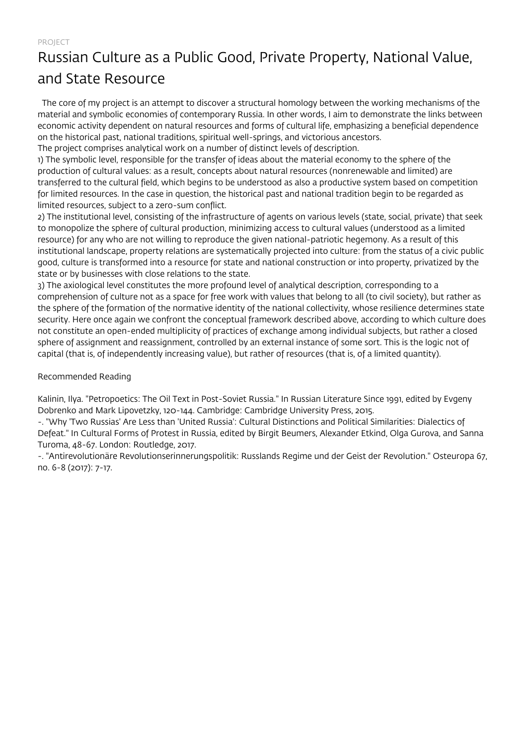### Russian Culture as a Public Good, Private Property, National Value, and State Resource

 The core of my project is an attempt to discover a structural homology between the working mechanisms of the material and symbolic economies of contemporary Russia. In other words, I aim to demonstrate the links between economic activity dependent on natural resources and forms of cultural life, emphasizing a beneficial dependence on the historical past, national traditions, spiritual well-springs, and victorious ancestors. The project comprises analytical work on a number of distinct levels of description.

1) The symbolic level, responsible for the transfer of ideas about the material economy to the sphere of the production of cultural values: as a result, concepts about natural resources (nonrenewable and limited) are transferred to the cultural field, which begins to be understood as also a productive system based on competition for limited resources. In the case in question, the historical past and national tradition begin to be regarded as limited resources, subject to a zero-sum conflict.

2) The institutional level, consisting of the infrastructure of agents on various levels (state, social, private) that seek to monopolize the sphere of cultural production, minimizing access to cultural values (understood as a limited resource) for any who are not willing to reproduce the given national-patriotic hegemony. As a result of this institutional landscape, property relations are systematically projected into culture: from the status of a civic public good, culture is transformed into a resource for state and national construction or into property, privatized by the state or by businesses with close relations to the state.

3) The axiological level constitutes the more profound level of analytical description, corresponding to a comprehension of culture not as a space for free work with values that belong to all (to civil society), but rather as the sphere of the formation of the normative identity of the national collectivity, whose resilience determines state security. Here once again we confront the conceptual framework described above, according to which culture does not constitute an open-ended multiplicity of practices of exchange among individual subjects, but rather a closed sphere of assignment and reassignment, controlled by an external instance of some sort. This is the logic not of capital (that is, of independently increasing value), but rather of resources (that is, of a limited quantity).

### Recommended Reading

Kalinin, Ilya. "Petropoetics: The Oil Text in Post-Soviet Russia." In Russian Literature Since 1991, edited by Evgeny Dobrenko and Mark Lipovetzky, 120-144. Cambridge: Cambridge University Press, 2015.

-. "Why 'Two Russias' Are Less than 'United Russia': Cultural Distinctions and Political Similarities: Dialectics of Defeat." In Cultural Forms of Protest in Russia, edited by Birgit Beumers, Alexander Etkind, Olga Gurova, and Sanna Turoma, 48-67. London: Routledge, 2017.

-. "Antirevolutionäre Revolutionserinnerungspolitik: Russlands Regime und der Geist der Revolution." Osteuropa 67, no. 6-8 (2017): 7-17.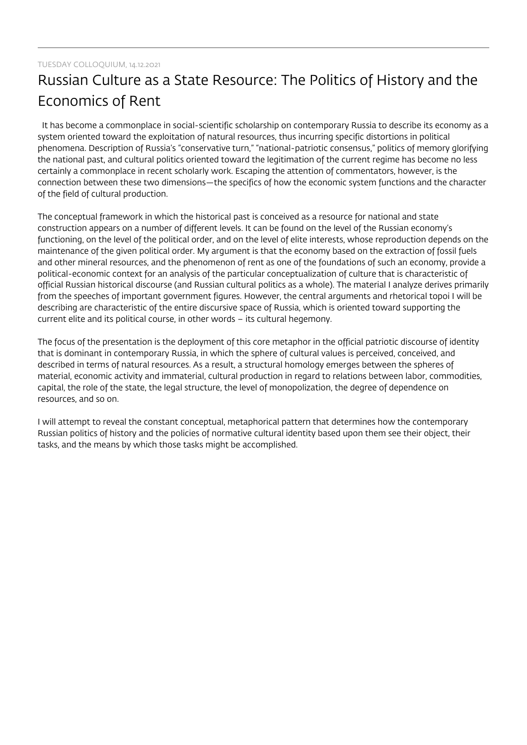#### TUESDAY COLLOQUIUM, 14.12.2021

## Russian Culture as a State Resource: The Politics of History and the Economics of Rent

 It has become a commonplace in social-scientific scholarship on contemporary Russia to describe its economy as a system oriented toward the exploitation of natural resources, thus incurring specific distortions in political phenomena. Description of Russia's "conservative turn," "national-patriotic consensus," politics of memory glorifying the national past, and cultural politics oriented toward the legitimation of the current regime has become no less certainly a commonplace in recent scholarly work. Escaping the attention of commentators, however, is the connection between these two dimensions—the specifics of how the economic system functions and the character of the field of cultural production.

The conceptual framework in which the historical past is conceived as a resource for national and state construction appears on a number of different levels. It can be found on the level of the Russian economy's functioning, on the level of the political order, and on the level of elite interests, whose reproduction depends on the maintenance of the given political order. My argument is that the economy based on the extraction of fossil fuels and other mineral resources, and the phenomenon of rent as one of the foundations of such an economy, provide a political-economic context for an analysis of the particular conceptualization of culture that is characteristic of official Russian historical discourse (and Russian cultural politics as a whole). The material I analyze derives primarily from the speeches of important government figures. However, the central arguments and rhetorical topoi I will be describing are characteristic of the entire discursive space of Russia, which is oriented toward supporting the current elite and its political course, in other words – its cultural hegemony.

The focus of the presentation is the deployment of this core metaphor in the official patriotic discourse of identity that is dominant in contemporary Russia, in which the sphere of cultural values is perceived, conceived, and described in terms of natural resources. As a result, a structural homology emerges between the spheres of material, economic activity and immaterial, cultural production in regard to relations between labor, commodities, capital, the role of the state, the legal structure, the level of monopolization, the degree of dependence on resources, and so on.

I will attempt to reveal the constant conceptual, metaphorical pattern that determines how the contemporary Russian politics of history and the policies of normative cultural identity based upon them see their object, their tasks, and the means by which those tasks might be accomplished.